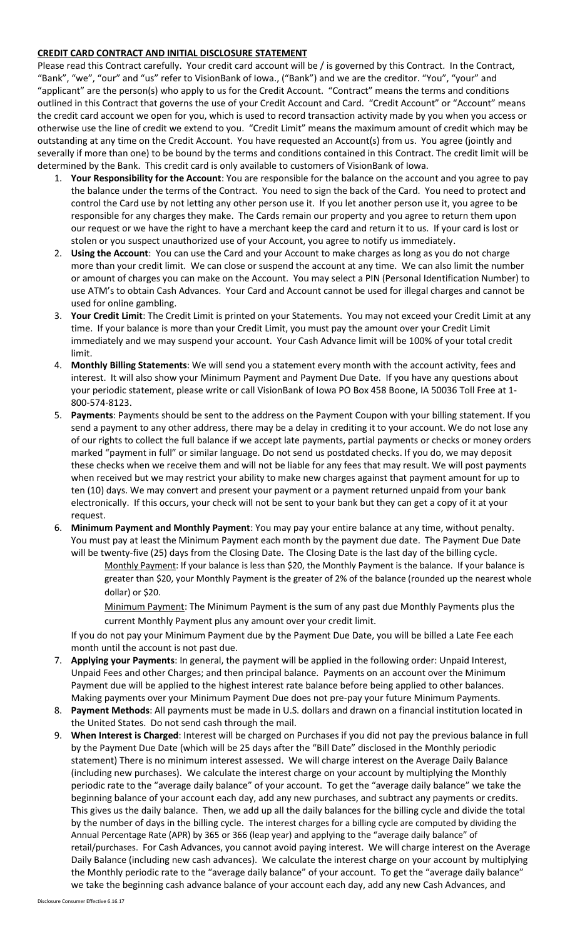## **CREDIT CARD CONTRACT AND INITIAL DISCLOSURE STATEMENT**

Please read this Contract carefully. Your credit card account will be / is governed by this Contract. In the Contract, "Bank", "we", "our" and "us" refer to VisionBank of Iowa., ("Bank") and we are the creditor. "You", "your" and "applicant" are the person(s) who apply to us for the Credit Account. "Contract" means the terms and conditions outlined in this Contract that governs the use of your Credit Account and Card. "Credit Account" or "Account" means the credit card account we open for you, which is used to record transaction activity made by you when you access or otherwise use the line of credit we extend to you. "Credit Limit" means the maximum amount of credit which may be outstanding at any time on the Credit Account. You have requested an Account(s) from us. You agree (jointly and severally if more than one) to be bound by the terms and conditions contained in this Contract. The credit limit will be determined by the Bank. This credit card is only available to customers of VisionBank of Iowa.

- 1. **Your Responsibility for the Account**: You are responsible for the balance on the account and you agree to pay the balance under the terms of the Contract. You need to sign the back of the Card. You need to protect and control the Card use by not letting any other person use it. If you let another person use it, you agree to be responsible for any charges they make. The Cards remain our property and you agree to return them upon our request or we have the right to have a merchant keep the card and return it to us. If your card is lost or stolen or you suspect unauthorized use of your Account, you agree to notify us immediately.
- 2. **Using the Account**: You can use the Card and your Account to make charges as long as you do not charge more than your credit limit. We can close or suspend the account at any time. We can also limit the number or amount of charges you can make on the Account. You may select a PIN (Personal Identification Number) to use ATM's to obtain Cash Advances. Your Card and Account cannot be used for illegal charges and cannot be used for online gambling.
- 3. **Your Credit Limit**: The Credit Limit is printed on your Statements. You may not exceed your Credit Limit at any time. If your balance is more than your Credit Limit, you must pay the amount over your Credit Limit immediately and we may suspend your account. Your Cash Advance limit will be 100% of your total credit limit.
- 4. **Monthly Billing Statements**: We will send you a statement every month with the account activity, fees and interest. It will also show your Minimum Payment and Payment Due Date. If you have any questions about your periodic statement, please write or call VisionBank of Iowa PO Box 458 Boone, IA 50036 Toll Free at 1- 800-574-8123.
- 5. **Payments**: Payments should be sent to the address on the Payment Coupon with your billing statement. If you send a payment to any other address, there may be a delay in crediting it to your account. We do not lose any of our rights to collect the full balance if we accept late payments, partial payments or checks or money orders marked "payment in full" or similar language. Do not send us postdated checks. If you do, we may deposit these checks when we receive them and will not be liable for any fees that may result. We will post payments when received but we may restrict your ability to make new charges against that payment amount for up to ten (10) days. We may convert and present your payment or a payment returned unpaid from your bank electronically. If this occurs, your check will not be sent to your bank but they can get a copy of it at your request.
- 6. **Minimum Payment and Monthly Payment**: You may pay your entire balance at any time, without penalty. You must pay at least the Minimum Payment each month by the payment due date. The Payment Due Date will be twenty-five (25) days from the Closing Date. The Closing Date is the last day of the billing cycle.
	- Monthly Payment: If your balance is less than \$20, the Monthly Payment is the balance. If your balance is greater than \$20, your Monthly Payment is the greater of 2% of the balance (rounded up the nearest whole dollar) or \$20.
	- Minimum Payment: The Minimum Payment is the sum of any past due Monthly Payments plus the current Monthly Payment plus any amount over your credit limit.

If you do not pay your Minimum Payment due by the Payment Due Date, you will be billed a Late Fee each month until the account is not past due.

- 7. **Applying your Payments**: In general, the payment will be applied in the following order: Unpaid Interest, Unpaid Fees and other Charges; and then principal balance. Payments on an account over the Minimum Payment due will be applied to the highest interest rate balance before being applied to other balances. Making payments over your Minimum Payment Due does not pre-pay your future Minimum Payments.
- 8. **Payment Methods**: All payments must be made in U.S. dollars and drawn on a financial institution located in the United States. Do not send cash through the mail.
- 9. **When Interest is Charged**: Interest will be charged on Purchases if you did not pay the previous balance in full by the Payment Due Date (which will be 25 days after the "Bill Date" disclosed in the Monthly periodic statement) There is no minimum interest assessed. We will charge interest on the Average Daily Balance (including new purchases). We calculate the interest charge on your account by multiplying the Monthly periodic rate to the "average daily balance" of your account. To get the "average daily balance" we take the beginning balance of your account each day, add any new purchases, and subtract any payments or credits. This gives us the daily balance. Then, we add up all the daily balances for the billing cycle and divide the total by the number of days in the billing cycle. The interest charges for a billing cycle are computed by dividing the Annual Percentage Rate (APR) by 365 or 366 (leap year) and applying to the "average daily balance" of retail/purchases. For Cash Advances, you cannot avoid paying interest. We will charge interest on the Average Daily Balance (including new cash advances). We calculate the interest charge on your account by multiplying the Monthly periodic rate to the "average daily balance" of your account. To get the "average daily balance" we take the beginning cash advance balance of your account each day, add any new Cash Advances, and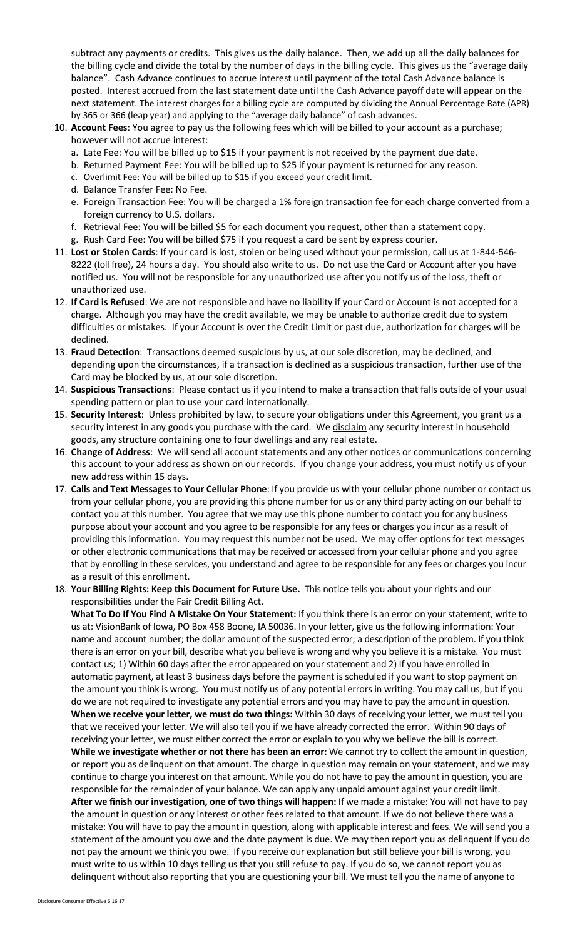subtract any payments or credits. This gives us the daily balance. Then, we add up all the daily balances for the billing cycle and divide the total by the number of days in the billing cycle. This gives us the "average daily balance". Cash Advance continues to accrue interest until payment of the total Cash Advance balance is posted. Interest accrued from the last statement date until the Cash Advance payoff date will appear on the next statement. The interest charges for a billing cycle are computed by dividing the Annual Percentage Rate (APR) by 365 or 366 (leap year) and applying to the "average daily balance" of cash advances.

- 10. **Account Fees**: You agree to pay us the following fees which will be billed to your account as a purchase; however will not accrue interest:
	- a. Late Fee: You will be billed up to \$15 if your payment is not received by the payment due date.
	- b. Returned Payment Fee: You will be billed up to \$25 if your payment is returned for any reason.
	- c. Overlimit Fee: You will be billed up to \$15 if you exceed your credit limit.
	- d. Balance Transfer Fee: No Fee.
	- e. Foreign Transaction Fee: You will be charged a 1% foreign transaction fee for each charge converted from a foreign currency to U.S. dollars.
	- f. Retrieval Fee: You will be billed \$5 for each document you request, other than a statement copy.
	- g. Rush Card Fee: You will be billed \$75 if you request a card be sent by express courier.
- 11. **Lost or Stolen Cards**: If your card is lost, stolen or being used without your permission, call us at 1-844-546- 8222 (toll free), 24 hours a day. You should also write to us. Do not use the Card or Account after you have notified us. You will not be responsible for any unauthorized use after you notify us of the loss, theft or unauthorized use.
- 12. **If Card is Refused**: We are not responsible and have no liability if your Card or Account is not accepted for a charge. Although you may have the credit available, we may be unable to authorize credit due to system difficulties or mistakes. If your Account is over the Credit Limit or past due, authorization for charges will be declined.
- 13. **Fraud Detection**: Transactions deemed suspicious by us, at our sole discretion, may be declined, and depending upon the circumstances, if a transaction is declined as a suspicious transaction, further use of the Card may be blocked by us, at our sole discretion.
- 14. **Suspicious Transactions**: Please contact us if you intend to make a transaction that falls outside of your usual spending pattern or plan to use your card internationally.
- 15. **Security Interest**: Unless prohibited by law, to secure your obligations under this Agreement, you grant us a security interest in any goods you purchase with the card. We disclaim any security interest in household goods, any structure containing one to four dwellings and any real estate.
- 16. **Change of Address**: We will send all account statements and any other notices or communications concerning this account to your address as shown on our records. If you change your address, you must notify us of your new address within 15 days.
- 17. **Calls and Text Messages to Your Cellular Phone**: If you provide us with your cellular phone number or contact us from your cellular phone, you are providing this phone number for us or any third party acting on our behalf to contact you at this number. You agree that we may use this phone number to contact you for any business purpose about your account and you agree to be responsible for any fees or charges you incur as a result of providing this information. You may request this number not be used. We may offer options for text messages or other electronic communications that may be received or accessed from your cellular phone and you agree that by enrolling in these services, you understand and agree to be responsible for any fees or charges you incur as a result of this enrollment.
- 18. **Your Billing Rights: Keep this Document for Future Use.** This notice tells you about your rights and our responsibilities under the Fair Credit Billing Act.

**What To Do If You Find A Mistake On Your Statement:** If you think there is an error on your statement, write to us at: VisionBank of Iowa, PO Box 458 Boone, IA 50036. In your letter, give us the following information: Your name and account number; the dollar amount of the suspected error; a description of the problem. If you think there is an error on your bill, describe what you believe is wrong and why you believe it is a mistake. You must contact us; 1) Within 60 days after the error appeared on your statement and 2) If you have enrolled in automatic payment, at least 3 business days before the payment is scheduled if you want to stop payment on the amount you think is wrong. You must notify us of any potential errors in writing. You may call us, but if you do we are not required to investigate any potential errors and you may have to pay the amount in question. **When we receive your letter, we must do two things:** Within 30 days of receiving your letter, we must tell you that we received your letter. We will also tell you if we have already corrected the error. Within 90 days of receiving your letter, we must either correct the error or explain to you why we believe the bill is correct. **While we investigate whether or not there has been an error:** We cannot try to collect the amount in question, or report you as delinquent on that amount. The charge in question may remain on your statement, and we may continue to charge you interest on that amount. While you do not have to pay the amount in question, you are responsible for the remainder of your balance. We can apply any unpaid amount against your credit limit. **After we finish our investigation, one of two things will happen:** If we made a mistake: You will not have to pay the amount in question or any interest or other fees related to that amount. If we do not believe there was a mistake: You will have to pay the amount in question, along with applicable interest and fees. We will send you a statement of the amount you owe and the date payment is due. We may then report you as delinquent if you do not pay the amount we think you owe. If you receive our explanation but still believe your bill is wrong, you must write to us within 10 days telling us that you still refuse to pay. If you do so, we cannot report you as delinquent without also reporting that you are questioning your bill. We must tell you the name of anyone to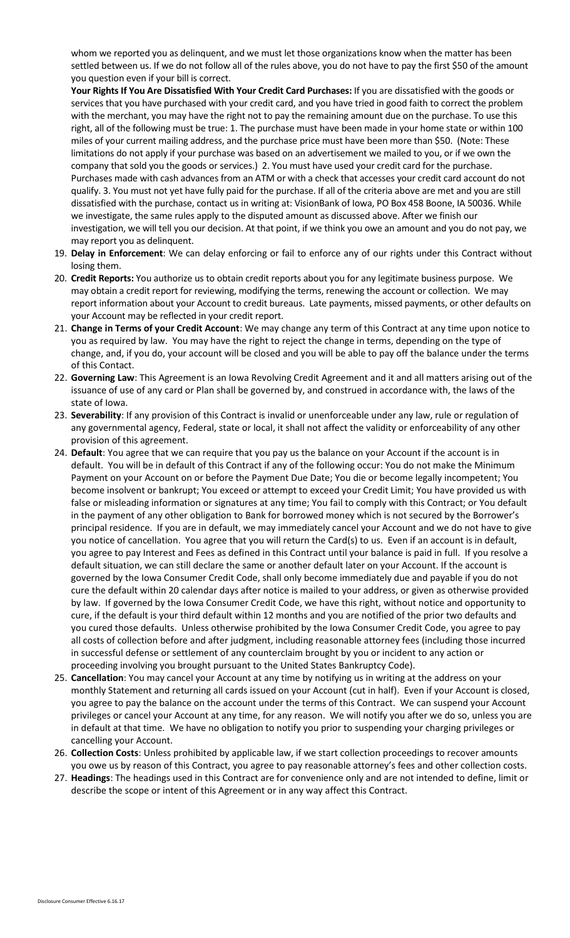whom we reported you as delinquent, and we must let those organizations know when the matter has been settled between us. If we do not follow all of the rules above, you do not have to pay the first \$50 of the amount you question even if your bill is correct.

**Your Rights If You Are Dissatisfied With Your Credit Card Purchases:** If you are dissatisfied with the goods or services that you have purchased with your credit card, and you have tried in good faith to correct the problem with the merchant, you may have the right not to pay the remaining amount due on the purchase. To use this right, all of the following must be true: 1. The purchase must have been made in your home state or within 100 miles of your current mailing address, and the purchase price must have been more than \$50. (Note: These limitations do not apply if your purchase was based on an advertisement we mailed to you, or if we own the company that sold you the goods or services.) 2. You must have used your credit card for the purchase. Purchases made with cash advances from an ATM or with a check that accesses your credit card account do not qualify. 3. You must not yet have fully paid for the purchase. If all of the criteria above are met and you are still dissatisfied with the purchase, contact us in writing at: VisionBank of Iowa, PO Box 458 Boone, IA 50036. While we investigate, the same rules apply to the disputed amount as discussed above. After we finish our investigation, we will tell you our decision. At that point, if we think you owe an amount and you do not pay, we may report you as delinquent.

- 19. **Delay in Enforcement**: We can delay enforcing or fail to enforce any of our rights under this Contract without losing them.
- 20. **Credit Reports:** You authorize us to obtain credit reports about you for any legitimate business purpose. We may obtain a credit report for reviewing, modifying the terms, renewing the account or collection. We may report information about your Account to credit bureaus. Late payments, missed payments, or other defaults on your Account may be reflected in your credit report.
- 21. **Change in Terms of your Credit Account**: We may change any term of this Contract at any time upon notice to you as required by law. You may have the right to reject the change in terms, depending on the type of change, and, if you do, your account will be closed and you will be able to pay off the balance under the terms of this Contact.
- 22. **Governing Law**: This Agreement is an Iowa Revolving Credit Agreement and it and all matters arising out of the issuance of use of any card or Plan shall be governed by, and construed in accordance with, the laws of the state of Iowa.
- 23. **Severability**: If any provision of this Contract is invalid or unenforceable under any law, rule or regulation of any governmental agency, Federal, state or local, it shall not affect the validity or enforceability of any other provision of this agreement.
- 24. **Default**: You agree that we can require that you pay us the balance on your Account if the account is in default. You will be in default of this Contract if any of the following occur: You do not make the Minimum Payment on your Account on or before the Payment Due Date; You die or become legally incompetent; You become insolvent or bankrupt; You exceed or attempt to exceed your Credit Limit; You have provided us with false or misleading information or signatures at any time; You fail to comply with this Contract; or You default in the payment of any other obligation to Bank for borrowed money which is not secured by the Borrower's principal residence. If you are in default, we may immediately cancel your Account and we do not have to give you notice of cancellation. You agree that you will return the Card(s) to us. Even if an account is in default, you agree to pay Interest and Fees as defined in this Contract until your balance is paid in full. If you resolve a default situation, we can still declare the same or another default later on your Account. If the account is governed by the Iowa Consumer Credit Code, shall only become immediately due and payable if you do not cure the default within 20 calendar days after notice is mailed to your address, or given as otherwise provided by law. If governed by the Iowa Consumer Credit Code, we have this right, without notice and opportunity to cure, if the default is your third default within 12 months and you are notified of the prior two defaults and you cured those defaults. Unless otherwise prohibited by the Iowa Consumer Credit Code, you agree to pay all costs of collection before and after judgment, including reasonable attorney fees (including those incurred in successful defense or settlement of any counterclaim brought by you or incident to any action or proceeding involving you brought pursuant to the United States Bankruptcy Code).
- 25. **Cancellation**: You may cancel your Account at any time by notifying us in writing at the address on your monthly Statement and returning all cards issued on your Account (cut in half). Even if your Account is closed, you agree to pay the balance on the account under the terms of this Contract. We can suspend your Account privileges or cancel your Account at any time, for any reason. We will notify you after we do so, unless you are in default at that time. We have no obligation to notify you prior to suspending your charging privileges or cancelling your Account.
- 26. **Collection Costs**: Unless prohibited by applicable law, if we start collection proceedings to recover amounts you owe us by reason of this Contract, you agree to pay reasonable attorney's fees and other collection costs.
- 27. **Headings**: The headings used in this Contract are for convenience only and are not intended to define, limit or describe the scope or intent of this Agreement or in any way affect this Contract.